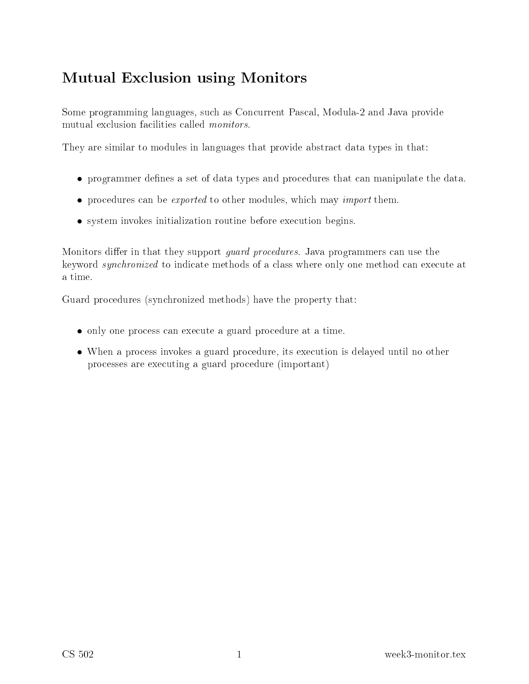# Mutual Ex
lusion using Monitors

Some programming languages, su
h as Con
urrent Pas
al, Modula-2 and Java provide mutual exclusion facilities called *monitors*.

They are similar to modules in languages that provide abstract data types in that:

- programmer defines a set of data types and procedures that can manipulate the data.
- procedures can be *exported* to other modules, which may *import* them.
- system invokes initialization routine before execution begins.

Monitors differ in that they support *guard procedures*. Java programmers can use the keyword *synchronized* to indicate methods of a class where only one method can execute at a time.

Guard pro
edures (syn
hronized methods) have the property that:

- only one process can execute a guard procedure at a time.
- When a process invokes a guard procedure, its execution is delayed until no other pro
esses are exe
uting a guard pro
edure (important)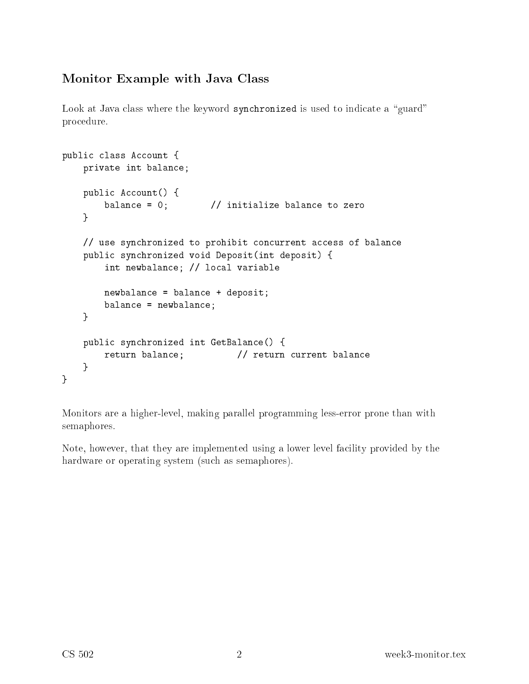# Monitor Example with Java Class

Look at Java class where the keyword synchronized is used to indicate a "guard" pro
edure.

```
public class Account {
   private int balan
e;
   public Account() {
       balance = 0; // initialize balance to zero
   }
   // use synchronized to prohibit concurrent access of balance
   public synchronized void Deposit(int deposit) {
       int newbalan
e; // lo
al variable
       newbalan
e = balan
e + deposit;
       balan
e = newbalan
e;
    }
   public synchronized int GetBalance() {
       return balance; // return current balance
   }
}
```
Monitors are a higher-level, making parallel programming less-error prone than with semaphores.

Note, however, that they are implemented using a lower level facility provided by the hardware or operating system (su
h as semaphores).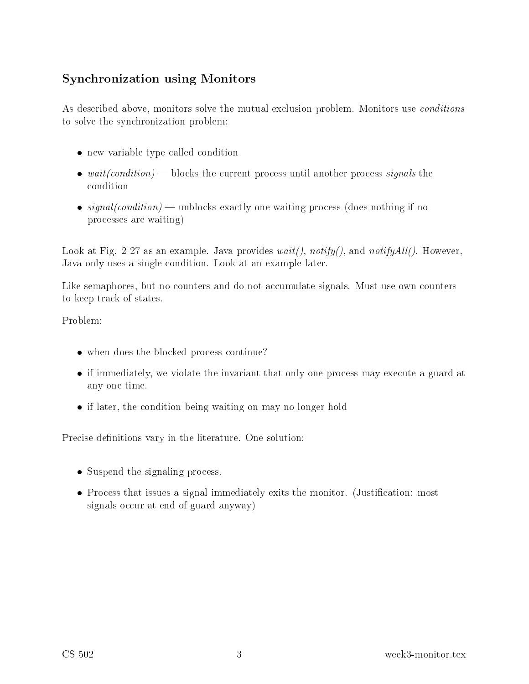# Syn
hronization using Monitors

As described above, monitors solve the mutual exclusion problem. Monitors use *conditions* to solve the syn
hronization problem:

- new variable type called condition
- $wait(condition)$  blocks the current process until another process signals the ondition
- signal(condition) unblocks exactly one waiting process (does nothing if no pro
esses are waiting)

Look at Fig. 2-27 as an example. Java provides  $wait()$ ,  $notify()$ , and  $notifyAll()$ . However, Java only uses a single ondition. Look at an example later.

Like semaphores, but no counters and do not accumulate signals. Must use own counters to keep track of states.

Problem:

- when does the blocked process continue?
- if immediately, we violate the invariant that only one process may execute a guard at any one time.
- if later, the condition being waiting on may no longer hold

Precise definitions vary in the literature. One solution:

- Suspend the signaling process.
- Process that issues a signal immediately exits the monitor. (Justification: most signals occur at end of guard anyway)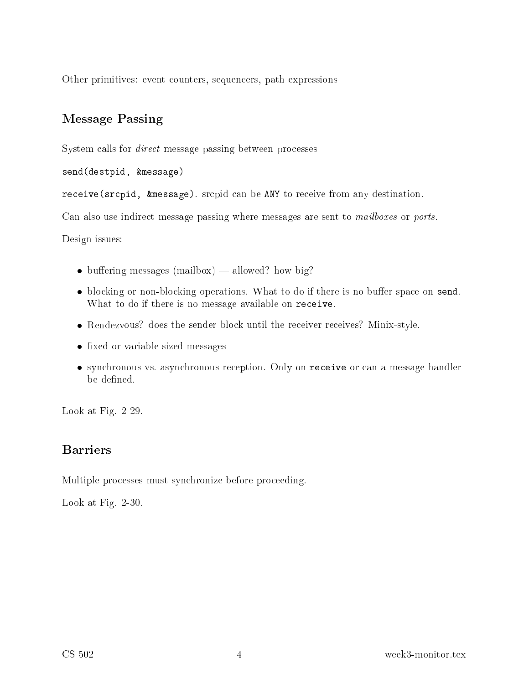Other primitives: event ounters, sequen
ers, path expressions

### Message Passing

System calls for *direct* message passing between processes

send(destpid, &message)

receive(srcpid, &message). srcpid can be ANY to receive from any destination.

Can also use indirect message passing where messages are sent to *mailboxes* or *ports*.

Design issues:

- $\bullet$  buffering messages (mailbox) allowed? how big?
- blocking or non-blocking operations. What to do if there is no buffer space on send. What to do if there is no message available on receive.
- Rendezvous? does the sender block until the receiver receives? Minix-style.
- fixed or variable sized messages
- synchronous vs. asynchronous reception. Only on receive or can a message handler be defined.

Look at Fig. 2-29.

Multiple processes must synchronize before proceeding.

Look at Fig. 2-30.